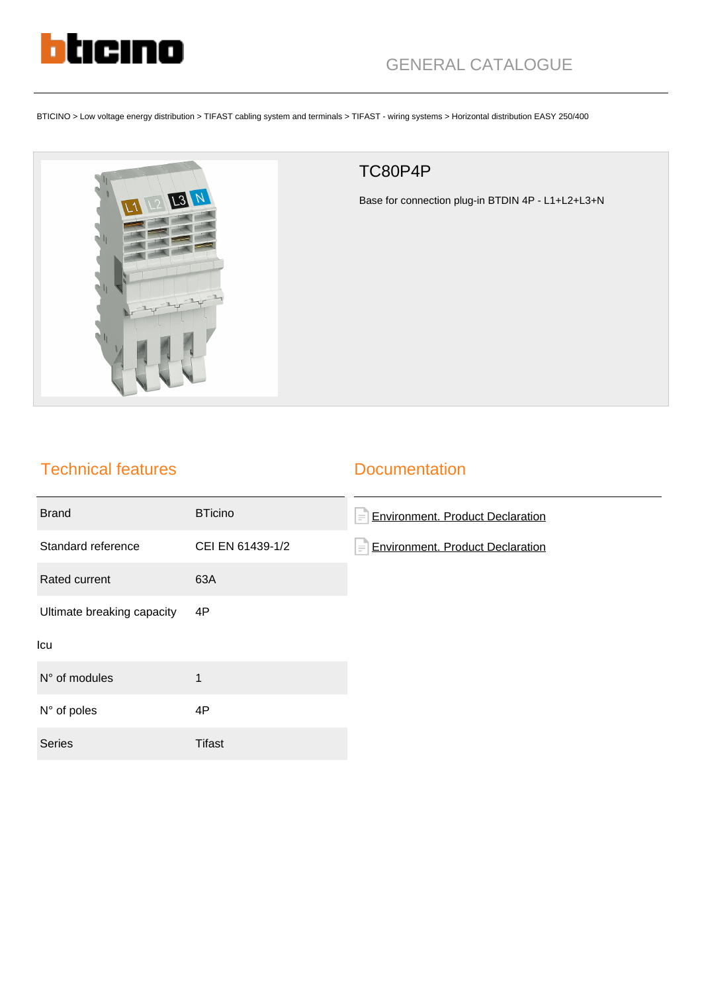

BTICINO > Low voltage energy distribution > TIFAST cabling system and terminals > TIFAST - wiring systems > Horizontal distribution EASY 250/400



## TC80P4P

Base for connection plug-in BTDIN 4P - L1+L2+L3+N

## Technical features

## **Documentation**

| <b>Brand</b>               | <b>BTicino</b>   | <b>Environment. Product Declaration</b><br>F |
|----------------------------|------------------|----------------------------------------------|
| Standard reference         | CEI EN 61439-1/2 | <b>Environment. Product Declaration</b><br>彐 |
| Rated current              | 63A              |                                              |
| Ultimate breaking capacity | 4P               |                                              |
| Icu                        |                  |                                              |
| N° of modules              | 1                |                                              |
| N° of poles                | 4P               |                                              |
| <b>Series</b>              | <b>Tifast</b>    |                                              |